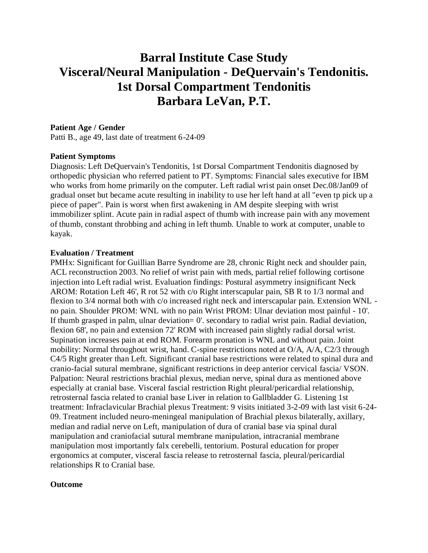# **Barral Institute Case Study Visceral/Neural Manipulation - DeQuervain's Tendonitis. 1st Dorsal Compartment Tendonitis Barbara LeVan, P.T.**

### **Patient Age / Gender**

Patti B., age 49, last date of treatment 6-24-09

#### **Patient Symptoms**

Diagnosis: Left DeQuervain's Tendonitis, 1st Dorsal Compartment Tendonitis diagnosed by orthopedic physician who referred patient to PT. Symptoms: Financial sales executive for IBM who works from home primarily on the computer. Left radial wrist pain onset Dec.08/Jan09 of gradual onset but became acute resulting in inability to use her left hand at all "even tp pick up a piece of paper". Pain is worst when first awakening in AM despite sleeping with wrist immobilizer splint. Acute pain in radial aspect of thumb with increase pain with any movement of thumb, constant throbbing and aching in left thumb. Unable to work at computer, unable to kayak.

#### **Evaluation / Treatment**

PMHx: Significant for Guillian Barre Syndrome are 28, chronic Right neck and shoulder pain, ACL reconstruction 2003. No relief of wrist pain with meds, partial relief following cortisone injection into Left radial wrist. Evaluation findings: Postural asymmetry insignificant Neck AROM: Rotation Left 46', R rot 52 with c/o Right interscapular pain, SB R to 1/3 normal and flexion to 3/4 normal both with c/o increased right neck and interscapular pain. Extension WNL no pain. Shoulder PROM: WNL with no pain Wrist PROM: Ulnar deviation most painful - 10'. If thumb grasped in palm, ulnar deviation= 0'. secondary to radial wrist pain. Radial deviation, flexion 68', no pain and extension 72' ROM with increased pain slightly radial dorsal wrist. Supination increases pain at end ROM. Forearm pronation is WNL and without pain. Joint mobility: Normal throughout wrist, hand. C-spine restrictions noted at O/A, A/A, C2/3 through C4/5 Right greater than Left. Significant cranial base restrictions were related to spinal dura and cranio-facial sutural membrane, significant restrictions in deep anterior cervical fascia/ VSON. Palpation: Neural restrictions brachial plexus, median nerve, spinal dura as mentioned above especially at cranial base. Visceral fascial restriction Right pleural/pericardial relationship, retrosternal fascia related to cranial base Liver in relation to Gallbladder G. Listening 1st treatment: Infraclavicular Brachial plexus Treatment: 9 visits initiated 3-2-09 with last visit 6-24- 09. Treatment included neuro-meningeal manipulation of Brachial plexus bilaterally, axillary, median and radial nerve on Left, manipulation of dura of cranial base via spinal dural manipulation and craniofacial sutural membrane manipulation, intracranial membrane manipulation most importantly falx cerebelli, tentorium. Postural education for proper ergonomics at computer, visceral fascia release to retrosternal fascia, pleural/pericardial relationships R to Cranial base.

## **Outcome**